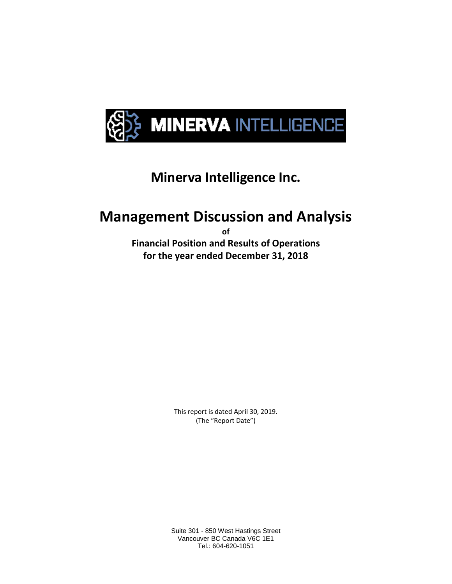

## **Minerva Intelligence Inc.**

# **Management Discussion and Analysis**

**of** 

**Financial Position and Results of Operations for the year ended December 31, 2018**

> This report is dated April 30, 2019. (The "Report Date")

Suite 301 - 850 West Hastings Street Vancouver BC Canada V6C 1E1 Tel.: 604-620-1051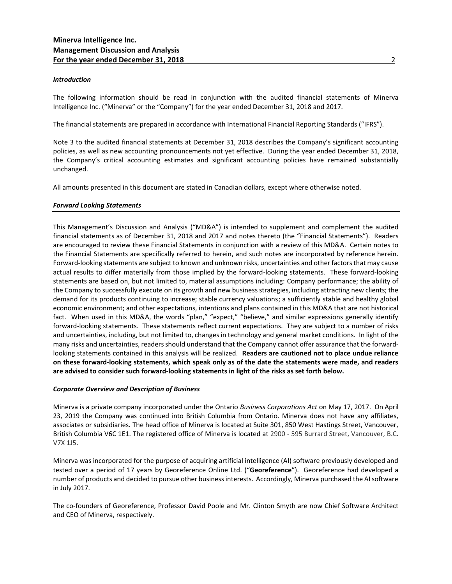#### *Introduction*

The following information should be read in conjunction with the audited financial statements of Minerva Intelligence Inc. ("Minerva" or the "Company") for the year ended December 31, 2018 and 2017.

The financial statements are prepared in accordance with International Financial Reporting Standards ("IFRS").

Note 3 to the audited financial statements at December 31, 2018 describes the Company's significant accounting policies, as well as new accounting pronouncements not yet effective. During the year ended December 31, 2018, the Company's critical accounting estimates and significant accounting policies have remained substantially unchanged.

All amounts presented in this document are stated in Canadian dollars, except where otherwise noted.

#### *Forward Looking Statements*

This Management's Discussion and Analysis ("MD&A") is intended to supplement and complement the audited financial statements as of December 31, 2018 and 2017 and notes thereto (the "Financial Statements"). Readers are encouraged to review these Financial Statements in conjunction with a review of this MD&A. Certain notes to the Financial Statements are specifically referred to herein, and such notes are incorporated by reference herein. Forward-looking statements are subject to known and unknown risks, uncertainties and other factors that may cause actual results to differ materially from those implied by the forward-looking statements. These forward-looking statements are based on, but not limited to, material assumptions including: Company performance; the ability of the Company to successfully execute on its growth and new business strategies, including attracting new clients; the demand for its products continuing to increase; stable currency valuations; a sufficiently stable and healthy global economic environment; and other expectations, intentions and plans contained in this MD&A that are not historical fact. When used in this MD&A, the words "plan," "expect," "believe," and similar expressions generally identify forward-looking statements. These statements reflect current expectations. They are subject to a number of risks and uncertainties, including, but not limited to, changes in technology and general market conditions. In light of the many risks and uncertainties, readers should understand that the Company cannot offer assurance that the forwardlooking statements contained in this analysis will be realized. **Readers are cautioned not to place undue reliance on these forward-looking statements, which speak only as of the date the statements were made, and readers are advised to consider such forward-looking statements in light of the risks as set forth below.**

## *Corporate Overview and Description of Business*

Minerva is a private company incorporated under the Ontario *Business Corporations Act* on May 17, 2017. On April 23, 2019 the Company was continued into British Columbia from Ontario. Minerva does not have any affiliates, associates or subsidiaries. The head office of Minerva is located at Suite 301, 850 West Hastings Street, Vancouver, British Columbia V6C 1E1. The registered office of Minerva is located at 2900 - 595 Burrard Street, Vancouver, B.C. V7X 1J5.

Minerva was incorporated for the purpose of acquiring artificial intelligence (AI) software previously developed and tested over a period of 17 years by Georeference Online Ltd. ("**Georeference**"). Georeference had developed a number of products and decided to pursue other business interests. Accordingly, Minerva purchased the AI software in July 2017.

The co-founders of Georeference, Professor David Poole and Mr. Clinton Smyth are now Chief Software Architect and CEO of Minerva, respectively.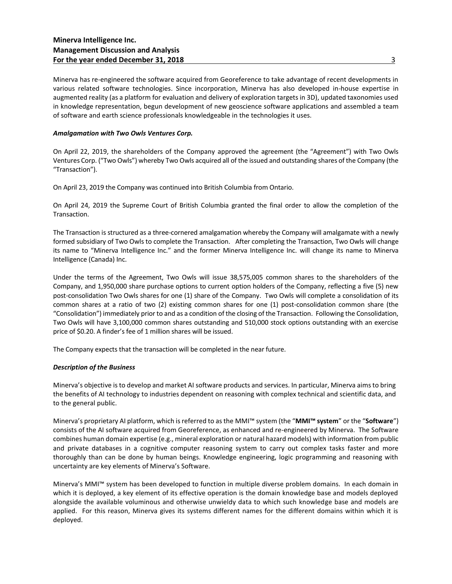Minerva has re-engineered the software acquired from Georeference to take advantage of recent developments in various related software technologies. Since incorporation, Minerva has also developed in-house expertise in augmented reality (as a platform for evaluation and delivery of exploration targets in 3D), updated taxonomies used in knowledge representation, begun development of new geoscience software applications and assembled a team of software and earth science professionals knowledgeable in the technologies it uses.

## *Amalgamation with Two Owls Ventures Corp.*

On April 22, 2019, the shareholders of the Company approved the agreement (the "Agreement") with Two Owls Ventures Corp. ("Two Owls") whereby Two Owls acquired all of the issued and outstanding shares of the Company (the "Transaction").

On April 23, 2019 the Company was continued into British Columbia from Ontario.

On April 24, 2019 the Supreme Court of British Columbia granted the final order to allow the completion of the Transaction.

The Transaction is structured as a three-cornered amalgamation whereby the Company will amalgamate with a newly formed subsidiary of Two Owls to complete the Transaction. After completing the Transaction, Two Owls will change its name to "Minerva Intelligence Inc." and the former Minerva Intelligence Inc. will change its name to Minerva Intelligence (Canada) Inc.

Under the terms of the Agreement, Two Owls will issue 38,575,005 common shares to the shareholders of the Company, and 1,950,000 share purchase options to current option holders of the Company, reflecting a five (5) new post-consolidation Two Owls shares for one (1) share of the Company. Two Owls will complete a consolidation of its common shares at a ratio of two (2) existing common shares for one (1) post-consolidation common share (the "Consolidation") immediately prior to and as a condition of the closing of the Transaction. Following the Consolidation, Two Owls will have 3,100,000 common shares outstanding and 510,000 stock options outstanding with an exercise price of \$0.20. A finder's fee of 1 million shares will be issued.

The Company expects that the transaction will be completed in the near future.

## *Description of the Business*

Minerva's objective is to develop and market AI software products and services. In particular, Minerva aims to bring the benefits of AI technology to industries dependent on reasoning with complex technical and scientific data, and to the general public.

Minerva's proprietary AI platform, which is referred to as the MMI™ system (the "**MMI™ system**" or the "**Software**") consists of the AI software acquired from Georeference, as enhanced and re-engineered by Minerva. The Software combines human domain expertise (e.g., mineral exploration or natural hazard models) with information from public and private databases in a cognitive computer reasoning system to carry out complex tasks faster and more thoroughly than can be done by human beings. Knowledge engineering, logic programming and reasoning with uncertainty are key elements of Minerva's Software.

Minerva's MMI™ system has been developed to function in multiple diverse problem domains. In each domain in which it is deployed, a key element of its effective operation is the domain knowledge base and models deployed alongside the available voluminous and otherwise unwieldy data to which such knowledge base and models are applied. For this reason, Minerva gives its systems different names for the different domains within which it is deployed.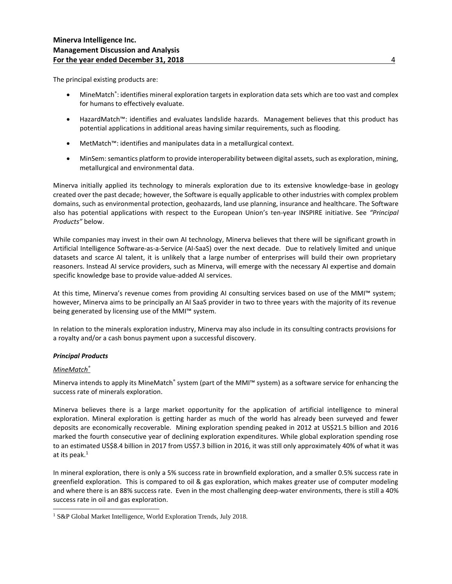The principal existing products are:

- MineMatch®: identifies mineral exploration targets in exploration data sets which are too vast and complex for humans to effectively evaluate.
- HazardMatch™: identifies and evaluates landslide hazards. Management believes that this product has potential applications in additional areas having similar requirements, such as flooding.
- MetMatch™: identifies and manipulates data in a metallurgical context.
- MinSem: semantics platform to provide interoperability between digital assets, such as exploration, mining, metallurgical and environmental data.

Minerva initially applied its technology to minerals exploration due to its extensive knowledge-base in geology created over the past decade; however, the Software is equally applicable to other industries with complex problem domains, such as environmental protection, geohazards, land use planning, insurance and healthcare. The Software also has potential applications with respect to the European Union's ten-year INSPIRE initiative. See *"Principal Products"* below.

While companies may invest in their own AI technology, Minerva believes that there will be significant growth in Artificial Intelligence Software-as-a-Service (AI-SaaS) over the next decade. Due to relatively limited and unique datasets and scarce AI talent, it is unlikely that a large number of enterprises will build their own proprietary reasoners. Instead AI service providers, such as Minerva, will emerge with the necessary AI expertise and domain specific knowledge base to provide value-added AI services.

At this time, Minerva's revenue comes from providing AI consulting services based on use of the MMI™ system; however, Minerva aims to be principally an AI SaaS provider in two to three years with the majority of its revenue being generated by licensing use of the MMI™ system.

In relation to the minerals exploration industry, Minerva may also include in its consulting contracts provisions for a royalty and/or a cash bonus payment upon a successful discovery.

## *Principal Products*

## *MineMatch®*

Minerva intends to apply its MineMatch® system (part of the MMI™ system) as a software service for enhancing the success rate of minerals exploration.

Minerva believes there is a large market opportunity for the application of artificial intelligence to mineral exploration. Mineral exploration is getting harder as much of the world has already been surveyed and fewer deposits are economically recoverable. Mining exploration spending peaked in 2012 at US\$21.5 billion and 2016 marked the fourth consecutive year of declining exploration expenditures. While global exploration spending rose to an estimated US\$8.4 billion in 2017 from US\$7.3 billion in 2016, it was still only approximately 40% of what it was at its peak.<sup>1</sup>

In mineral exploration, there is only a 5% success rate in brownfield exploration, and a smaller 0.5% success rate in greenfield exploration. This is compared to oil & gas exploration, which makes greater use of computer modeling and where there is an 88% success rate. Even in the most challenging deep-water environments, there is still a 40% success rate in oil and gas exploration.

 $\overline{\phantom{a}}$ <sup>1</sup> S&P Global Market Intelligence, World Exploration Trends, July 2018.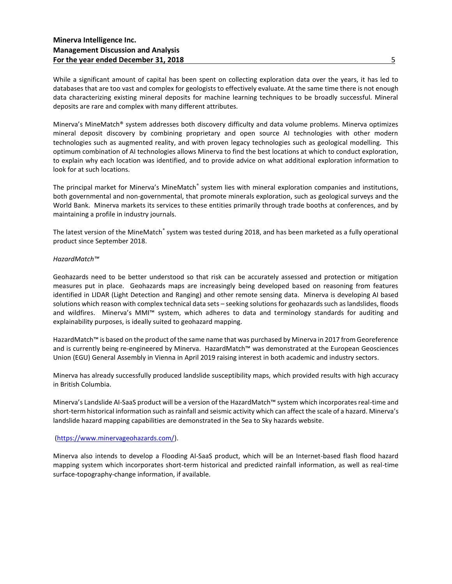While a significant amount of capital has been spent on collecting exploration data over the years, it has led to databases that are too vast and complex for geologists to effectively evaluate. At the same time there is not enough data characterizing existing mineral deposits for machine learning techniques to be broadly successful. Mineral deposits are rare and complex with many different attributes.

Minerva's MineMatch® system addresses both discovery difficulty and data volume problems. Minerva optimizes mineral deposit discovery by combining proprietary and open source AI technologies with other modern technologies such as augmented reality, and with proven legacy technologies such as geological modelling. This optimum combination of AI technologies allows Minerva to find the best locations at which to conduct exploration, to explain why each location was identified, and to provide advice on what additional exploration information to look for at such locations.

The principal market for Minerva's MineMatch® system lies with mineral exploration companies and institutions, both governmental and non-governmental, that promote minerals exploration, such as geological surveys and the World Bank. Minerva markets its services to these entities primarily through trade booths at conferences, and by maintaining a profile in industry journals.

The latest version of the MineMatch® system was tested during 2018, and has been marketed as a fully operational product since September 2018.

## *HazardMatch™*

Geohazards need to be better understood so that risk can be accurately assessed and protection or mitigation measures put in place. Geohazards maps are increasingly being developed based on reasoning from features identified in LIDAR (Light Detection and Ranging) and other remote sensing data. Minerva is developing AI based solutions which reason with complex technical data sets – seeking solutions for geohazards such as landslides, floods and wildfires. Minerva's MMI™ system, which adheres to data and terminology standards for auditing and explainability purposes, is ideally suited to geohazard mapping.

HazardMatch™ is based on the product of the same name that was purchased by Minerva in 2017 from Georeference and is currently being re-engineered by Minerva. HazardMatch™ was demonstrated at the European Geosciences Union (EGU) General Assembly in Vienna in April 2019 raising interest in both academic and industry sectors.

Minerva has already successfully produced landslide susceptibility maps, which provided results with high accuracy in British Columbia.

Minerva's Landslide AI-SaaS product will be a version of the HazardMatch™ system which incorporates real-time and short-term historical information such as rainfall and seismic activity which can affect the scale of a hazard. Minerva's landslide hazard mapping capabilities are demonstrated in the Sea to Sky hazards website.

## [\(https://www.minervageohazards.com/\)](https://www.minervageohazards.com/).

Minerva also intends to develop a Flooding AI-SaaS product, which will be an Internet-based flash flood hazard mapping system which incorporates short-term historical and predicted rainfall information, as well as real-time surface-topography-change information, if available.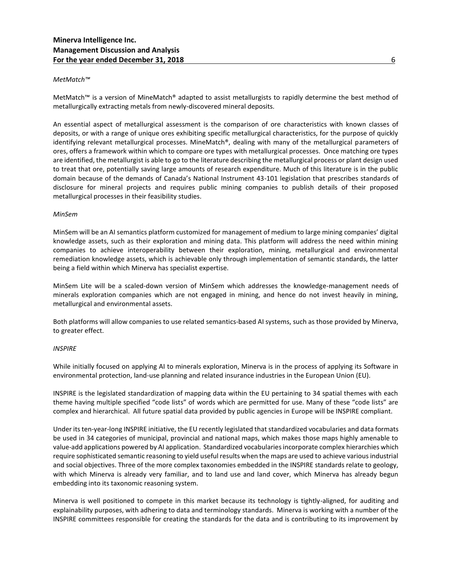## *MetMatch™*

MetMatch™ is a version of MineMatch® adapted to assist metallurgists to rapidly determine the best method of metallurgically extracting metals from newly-discovered mineral deposits.

An essential aspect of metallurgical assessment is the comparison of ore characteristics with known classes of deposits, or with a range of unique ores exhibiting specific metallurgical characteristics, for the purpose of quickly identifying relevant metallurgical processes. MineMatch®, dealing with many of the metallurgical parameters of ores, offers a framework within which to compare ore types with metallurgical processes. Once matching ore types are identified, the metallurgist is able to go to the literature describing the metallurgical process or plant design used to treat that ore, potentially saving large amounts of research expenditure. Much of this literature is in the public domain because of the demands of Canada's National Instrument 43-101 legislation that prescribes standards of disclosure for mineral projects and requires public mining companies to publish details of their proposed metallurgical processes in their feasibility studies.

#### *MinSem*

MinSem will be an AI semantics platform customized for management of medium to large mining companies' digital knowledge assets, such as their exploration and mining data. This platform will address the need within mining companies to achieve interoperability between their exploration, mining, metallurgical and environmental remediation knowledge assets, which is achievable only through implementation of semantic standards, the latter being a field within which Minerva has specialist expertise.

MinSem Lite will be a scaled-down version of MinSem which addresses the knowledge-management needs of minerals exploration companies which are not engaged in mining, and hence do not invest heavily in mining, metallurgical and environmental assets.

Both platforms will allow companies to use related semantics-based AI systems, such as those provided by Minerva, to greater effect.

#### *INSPIRE*

While initially focused on applying AI to minerals exploration, Minerva is in the process of applying its Software in environmental protection, land-use planning and related insurance industries in the European Union (EU).

INSPIRE is the legislated standardization of mapping data within the EU pertaining to 34 spatial themes with each theme having multiple specified "code lists" of words which are permitted for use. Many of these "code lists" are complex and hierarchical. All future spatial data provided by public agencies in Europe will be INSPIRE compliant.

Under its ten-year-long INSPIRE initiative, the EU recently legislated that standardized vocabularies and data formats be used in 34 categories of municipal, provincial and national maps, which makes those maps highly amenable to value-add applications powered by AI application. Standardized vocabularies incorporate complex hierarchies which require sophisticated semantic reasoning to yield useful results when the maps are used to achieve various industrial and social objectives. Three of the more complex taxonomies embedded in the INSPIRE standards relate to geology, with which Minerva is already very familiar, and to land use and land cover, which Minerva has already begun embedding into its taxonomic reasoning system.

Minerva is well positioned to compete in this market because its technology is tightly-aligned, for auditing and explainability purposes, with adhering to data and terminology standards. Minerva is working with a number of the INSPIRE committees responsible for creating the standards for the data and is contributing to its improvement by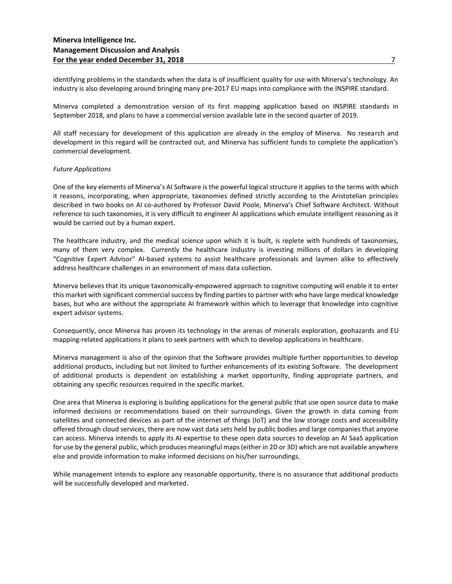identifying problems in the standards when the data is of insufficient quality for use with Minerva's technology. An industry is also developing around bringing many pre-2017 EU maps into compliance with the INSPIRE standard.

Minerva completed a demonstration version of its first mapping application based on INSPIRE standards in September 2018, and plans to have a commercial version available late in the second quarter of 2019.

All staff necessary for development of this application are already in the employ of Minerva. No research and development in this regard will be contracted out, and Minerva has sufficient funds to complete the application's commercial development.

## *Future Applications*

One of the key elements of Minerva's AI Software is the powerful logical structure it applies to the terms with which it reasons, incorporating, when appropriate, taxonomies defined strictly according to the Aristotelian principles described in two books on AI co-authored by Professor David Poole, Minerva's Chief Software Architect. Without reference to such taxonomies, it is very difficult to engineer AI applications which emulate intelligent reasoning as it would be carried out by a human expert.

The healthcare industry, and the medical science upon which it is built, is replete with hundreds of taxonomies, many of them very complex. Currently the healthcare industry is investing millions of dollars in developing "Cognitive Expert Advisor" AI-based systems to assist healthcare professionals and laymen alike to effectively address healthcare challenges in an environment of mass data collection.

Minerva believes that its unique taxonomically-empowered approach to cognitive computing will enable it to enter this market with significant commercial success by finding parties to partner with who have large medical knowledge bases, but who are without the appropriate AI framework within which to leverage that knowledge into cognitive expert advisor systems.

Consequently, once Minerva has proven its technology in the arenas of minerals exploration, geohazards and EU mapping-related applications it plans to seek partners with which to develop applications in healthcare.

Minerva management is also of the opinion that the Software provides multiple further opportunities to develop additional products, including but not limited to further enhancements of its existing Software. The development of additional products is dependent on establishing a market opportunity, finding appropriate partners, and obtaining any specific resources required in the specific market.

One area that Minerva is exploring is building applications for the general public that use open source data to make informed decisions or recommendations based on their surroundings. Given the growth in data coming from satellites and connected devices as part of the internet of things (IoT) and the low storage costs and accessibility offered through cloud services, there are now vast data sets held by public bodies and large companies that anyone can access. Minerva intends to apply its AI expertise to these open data sources to develop an AI SaaS application for use by the general public, which produces meaningful maps (either in 2D or 3D) which are not available anywhere else and provide information to make informed decisions on his/her surroundings.

While management intends to explore any reasonable opportunity, there is no assurance that additional products will be successfully developed and marketed.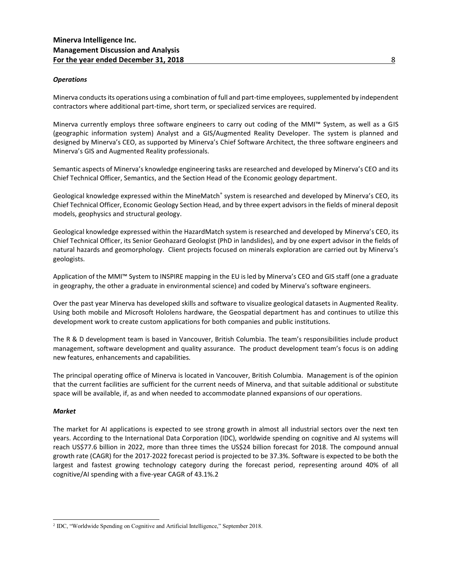## *Operations*

Minerva conducts its operations using a combination of full and part-time employees, supplemented by independent contractors where additional part-time, short term, or specialized services are required.

Minerva currently employs three software engineers to carry out coding of the MMI™ System, as well as a GIS (geographic information system) Analyst and a GIS/Augmented Reality Developer. The system is planned and designed by Minerva's CEO, as supported by Minerva's Chief Software Architect, the three software engineers and Minerva's GIS and Augmented Reality professionals.

Semantic aspects of Minerva's knowledge engineering tasks are researched and developed by Minerva's CEO and its Chief Technical Officer, Semantics, and the Section Head of the Economic geology department.

Geological knowledge expressed within the MineMatch® system is researched and developed by Minerva's CEO, its Chief Technical Officer, Economic Geology Section Head, and by three expert advisors in the fields of mineral deposit models, geophysics and structural geology.

Geological knowledge expressed within the HazardMatch system is researched and developed by Minerva's CEO, its Chief Technical Officer, its Senior Geohazard Geologist (PhD in landslides), and by one expert advisor in the fields of natural hazards and geomorphology. Client projects focused on minerals exploration are carried out by Minerva's geologists.

Application of the MMI™ System to INSPIRE mapping in the EU is led by Minerva's CEO and GIS staff (one a graduate in geography, the other a graduate in environmental science) and coded by Minerva's software engineers.

Over the past year Minerva has developed skills and software to visualize geological datasets in Augmented Reality. Using both mobile and Microsoft Hololens hardware, the Geospatial department has and continues to utilize this development work to create custom applications for both companies and public institutions.

The R & D development team is based in Vancouver, British Columbia. The team's responsibilities include product management, software development and quality assurance. The product development team's focus is on adding new features, enhancements and capabilities.

The principal operating office of Minerva is located in Vancouver, British Columbia. Management is of the opinion that the current facilities are sufficient for the current needs of Minerva, and that suitable additional or substitute space will be available, if, as and when needed to accommodate planned expansions of our operations.

## *Market*

 $\overline{a}$ 

The market for AI applications is expected to see strong growth in almost all industrial sectors over the next ten years. According to the International Data Corporation (IDC), worldwide spending on cognitive and AI systems will reach US\$77.6 billion in 2022, more than three times the US\$24 billion forecast for 2018. The compound annual growth rate (CAGR) for the 2017-2022 forecast period is projected to be 37.3%. Software is expected to be both the largest and fastest growing technology category during the forecast period, representing around 40% of all cognitive/AI spending with a five-year CAGR of 43.1%.2

<sup>&</sup>lt;sup>2</sup> IDC, "Worldwide Spending on Cognitive and Artificial Intelligence," September 2018.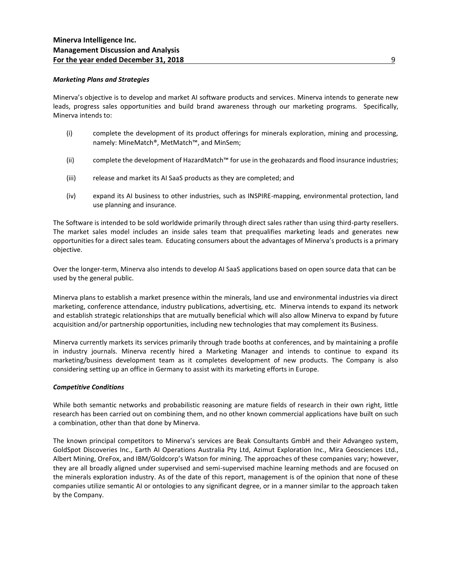## *Marketing Plans and Strategies*

Minerva's objective is to develop and market AI software products and services. Minerva intends to generate new leads, progress sales opportunities and build brand awareness through our marketing programs. Specifically, Minerva intends to:

- (i) complete the development of its product offerings for minerals exploration, mining and processing, namely: MineMatch®, MetMatch™, and MinSem;
- (ii) complete the development of HazardMatch™ for use in the geohazards and flood insurance industries;
- (iii) release and market its AI SaaS products as they are completed; and
- (iv) expand its AI business to other industries, such as INSPIRE-mapping, environmental protection, land use planning and insurance.

The Software is intended to be sold worldwide primarily through direct sales rather than using third-party resellers. The market sales model includes an inside sales team that prequalifies marketing leads and generates new opportunities for a direct sales team. Educating consumers about the advantages of Minerva's products is a primary objective.

Over the longer-term, Minerva also intends to develop AI SaaS applications based on open source data that can be used by the general public.

Minerva plans to establish a market presence within the minerals, land use and environmental industries via direct marketing, conference attendance, industry publications, advertising, etc. Minerva intends to expand its network and establish strategic relationships that are mutually beneficial which will also allow Minerva to expand by future acquisition and/or partnership opportunities, including new technologies that may complement its Business.

Minerva currently markets its services primarily through trade booths at conferences, and by maintaining a profile in industry journals. Minerva recently hired a Marketing Manager and intends to continue to expand its marketing/business development team as it completes development of new products. The Company is also considering setting up an office in Germany to assist with its marketing efforts in Europe.

## *Competitive Conditions*

While both semantic networks and probabilistic reasoning are mature fields of research in their own right, little research has been carried out on combining them, and no other known commercial applications have built on such a combination, other than that done by Minerva.

The known principal competitors to Minerva's services are Beak Consultants GmbH and their Advangeo system, GoldSpot Discoveries Inc., Earth AI Operations Australia Pty Ltd, Azimut Exploration Inc., Mira Geosciences Ltd., Albert Mining, OreFox, and IBM/Goldcorp's Watson for mining. The approaches of these companies vary; however, they are all broadly aligned under supervised and semi-supervised machine learning methods and are focused on the minerals exploration industry. As of the date of this report, management is of the opinion that none of these companies utilize semantic AI or ontologies to any significant degree, or in a manner similar to the approach taken by the Company.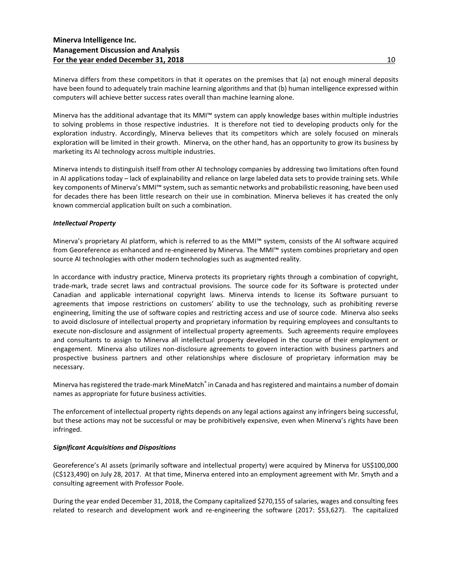Minerva differs from these competitors in that it operates on the premises that (a) not enough mineral deposits have been found to adequately train machine learning algorithms and that (b) human intelligence expressed within computers will achieve better success rates overall than machine learning alone.

Minerva has the additional advantage that its MMI™ system can apply knowledge bases within multiple industries to solving problems in those respective industries. It is therefore not tied to developing products only for the exploration industry. Accordingly, Minerva believes that its competitors which are solely focused on minerals exploration will be limited in their growth. Minerva, on the other hand, has an opportunity to grow its business by marketing its AI technology across multiple industries.

Minerva intends to distinguish itself from other AI technology companies by addressing two limitations often found in AI applications today – lack of explainability and reliance on large labeled data sets to provide training sets. While key components of Minerva's MMI™ system, such as semantic networks and probabilistic reasoning, have been used for decades there has been little research on their use in combination. Minerva believes it has created the only known commercial application built on such a combination.

## *Intellectual Property*

Minerva's proprietary AI platform, which is referred to as the MMI™ system, consists of the AI software acquired from Georeference as enhanced and re-engineered by Minerva. The MMI™ system combines proprietary and open source AI technologies with other modern technologies such as augmented reality.

In accordance with industry practice, Minerva protects its proprietary rights through a combination of copyright, trade-mark, trade secret laws and contractual provisions. The source code for its Software is protected under Canadian and applicable international copyright laws. Minerva intends to license its Software pursuant to agreements that impose restrictions on customers' ability to use the technology, such as prohibiting reverse engineering, limiting the use of software copies and restricting access and use of source code. Minerva also seeks to avoid disclosure of intellectual property and proprietary information by requiring employees and consultants to execute non-disclosure and assignment of intellectual property agreements. Such agreements require employees and consultants to assign to Minerva all intellectual property developed in the course of their employment or engagement. Minerva also utilizes non-disclosure agreements to govern interaction with business partners and prospective business partners and other relationships where disclosure of proprietary information may be necessary.

Minerva has registered the trade-mark MineMatch® in Canada and has registered and maintains a number of domain names as appropriate for future business activities.

The enforcement of intellectual property rights depends on any legal actions against any infringers being successful, but these actions may not be successful or may be prohibitively expensive, even when Minerva's rights have been infringed.

## *Significant Acquisitions and Dispositions*

Georeference's AI assets (primarily software and intellectual property) were acquired by Minerva for US\$100,000 (C\$123,490) on July 28, 2017. At that time, Minerva entered into an employment agreement with Mr. Smyth and a consulting agreement with Professor Poole.

During the year ended December 31, 2018, the Company capitalized \$270,155 of salaries, wages and consulting fees related to research and development work and re-engineering the software (2017: \$53,627). The capitalized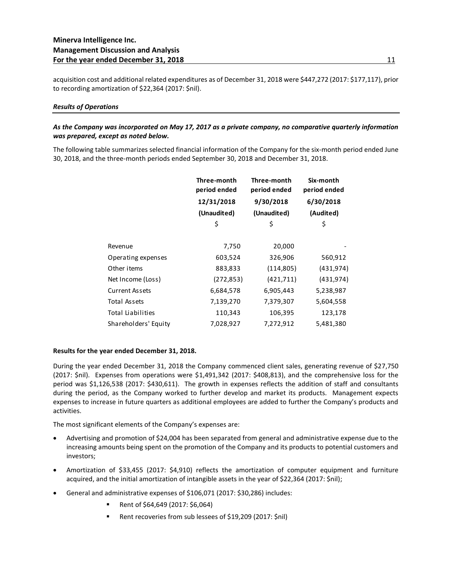acquisition cost and additional related expenditures as of December 31, 2018 were \$447,272 (2017: \$177,117), prior to recording amortization of \$22,364 (2017: \$nil).

## *Results of Operations*

## *As the Company was incorporated on May 17, 2017 as a private company, no comparative quarterly information was prepared, except as noted below.*

The following table summarizes selected financial information of the Company for the six-month period ended June 30, 2018, and the three-month periods ended September 30, 2018 and December 31, 2018.

|                      | Three-month<br>period ended | Three-month<br>period ended | Six-month<br>period ended<br>6/30/2018 |  |
|----------------------|-----------------------------|-----------------------------|----------------------------------------|--|
|                      | 12/31/2018                  | 9/30/2018                   |                                        |  |
|                      | (Unaudited)                 | (Unaudited)                 | (Audited)                              |  |
|                      | \$                          | \$                          | \$                                     |  |
|                      |                             |                             |                                        |  |
| Revenue              | 7,750                       | 20,000                      |                                        |  |
| Operating expenses   | 603,524                     | 326,906                     | 560,912                                |  |
| Other items          | 883,833                     | (114, 805)                  | (431, 974)                             |  |
| Net Income (Loss)    | (272, 853)                  | (421, 711)                  | (431, 974)                             |  |
| Current Assets       | 6,684,578                   | 6,905,443                   | 5,238,987                              |  |
| Total Assets         | 7,139,270                   | 7,379,307                   | 5,604,558                              |  |
| Total Liabilities    | 110,343                     | 106,395                     | 123,178                                |  |
| Shareholders' Equity | 7,028,927                   | 7,272,912                   | 5,481,380                              |  |
|                      |                             |                             |                                        |  |

## **Results for the year ended December 31, 2018.**

During the year ended December 31, 2018 the Company commenced client sales, generating revenue of \$27,750 (2017: \$nil). Expenses from operations were \$1,491,342 (2017: \$408,813), and the comprehensive loss for the period was \$1,126,538 (2017: \$430,611). The growth in expenses reflects the addition of staff and consultants during the period, as the Company worked to further develop and market its products. Management expects expenses to increase in future quarters as additional employees are added to further the Company's products and activities.

The most significant elements of the Company's expenses are:

- Advertising and promotion of \$24,004 has been separated from general and administrative expense due to the increasing amounts being spent on the promotion of the Company and its products to potential customers and investors;
- Amortization of \$33,455 (2017: \$4,910) reflects the amortization of computer equipment and furniture acquired, and the initial amortization of intangible assets in the year of \$22,364 (2017: \$nil);
- General and administrative expenses of \$106,071 (2017: \$30,286) includes:
	- Rent of \$64,649 (2017: \$6,064)
	- Rent recoveries from sub lessees of \$19,209 (2017: \$nil)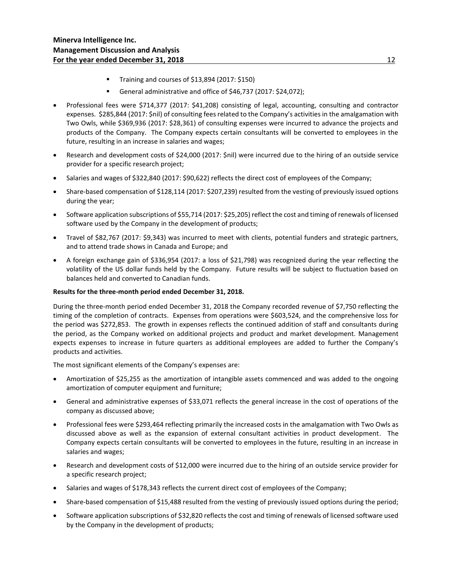- Training and courses of \$13,894 (2017: \$150)
- General administrative and office of \$46,737 (2017: \$24,072);
- Professional fees were \$714,377 (2017: \$41,208) consisting of legal, accounting, consulting and contractor expenses. \$285,844 (2017: \$nil) of consulting fees related to the Company's activities in the amalgamation with Two Owls, while \$369,936 (2017: \$28,361) of consulting expenses were incurred to advance the projects and products of the Company. The Company expects certain consultants will be converted to employees in the future, resulting in an increase in salaries and wages;
- Research and development costs of \$24,000 (2017: \$nil) were incurred due to the hiring of an outside service provider for a specific research project;
- Salaries and wages of \$322,840 (2017: \$90,622) reflects the direct cost of employees of the Company;
- Share-based compensation of \$128,114 (2017: \$207,239) resulted from the vesting of previously issued options during the year;
- Software application subscriptions of \$55,714 (2017: \$25,205) reflect the cost and timing of renewals of licensed software used by the Company in the development of products;
- Travel of \$82,767 (2017: \$9,343) was incurred to meet with clients, potential funders and strategic partners, and to attend trade shows in Canada and Europe; and
- A foreign exchange gain of \$336,954 (2017: a loss of \$21,798) was recognized during the year reflecting the volatility of the US dollar funds held by the Company. Future results will be subject to fluctuation based on balances held and converted to Canadian funds.

## **Results for the three-month period ended December 31, 2018.**

During the three-month period ended December 31, 2018 the Company recorded revenue of \$7,750 reflecting the timing of the completion of contracts. Expenses from operations were \$603,524, and the comprehensive loss for the period was \$272,853. The growth in expenses reflects the continued addition of staff and consultants during the period, as the Company worked on additional projects and product and market development. Management expects expenses to increase in future quarters as additional employees are added to further the Company's products and activities.

The most significant elements of the Company's expenses are:

- Amortization of \$25,255 as the amortization of intangible assets commenced and was added to the ongoing amortization of computer equipment and furniture;
- General and administrative expenses of \$33,071 reflects the general increase in the cost of operations of the company as discussed above;
- Professional fees were \$293,464 reflecting primarily the increased costs in the amalgamation with Two Owls as discussed above as well as the expansion of external consultant activities in product development. The Company expects certain consultants will be converted to employees in the future, resulting in an increase in salaries and wages;
- Research and development costs of \$12,000 were incurred due to the hiring of an outside service provider for a specific research project;
- Salaries and wages of \$178,343 reflects the current direct cost of employees of the Company;
- Share-based compensation of \$15,488 resulted from the vesting of previously issued options during the period;
- Software application subscriptions of \$32,820 reflects the cost and timing of renewals of licensed software used by the Company in the development of products;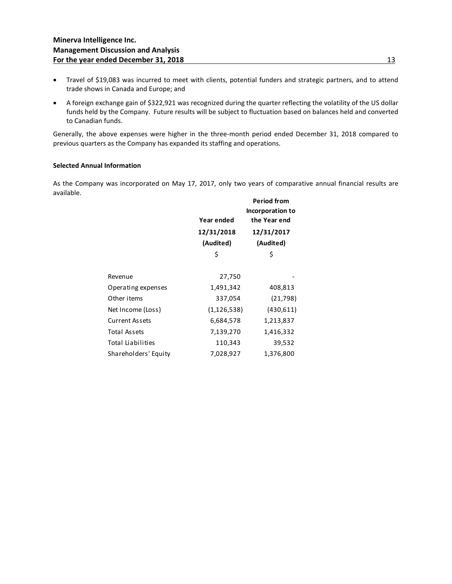- Travel of \$19,083 was incurred to meet with clients, potential funders and strategic partners, and to attend trade shows in Canada and Europe; and
- A foreign exchange gain of \$322,921 was recognized during the quarter reflecting the volatility of the US dollar funds held by the Company. Future results will be subject to fluctuation based on balances held and converted to Canadian funds.

Generally, the above expenses were higher in the three-month period ended December 31, 2018 compared to previous quarters as the Company has expanded its staffing and operations.

## **Selected Annual Information**

As the Company was incorporated on May 17, 2017, only two years of comparative annual financial results are available.

|                       | Year ended    | <b>Period from</b><br>Incorporation to<br>the Year end |  |  |
|-----------------------|---------------|--------------------------------------------------------|--|--|
|                       | 12/31/2018    | 12/31/2017                                             |  |  |
|                       | (Audited)     | (Audited)                                              |  |  |
|                       | \$            | \$                                                     |  |  |
|                       |               |                                                        |  |  |
| Revenue               | 27,750        |                                                        |  |  |
| Operating expenses    | 1,491,342     | 408,813                                                |  |  |
| Other items           | 337,054       | (21, 798)                                              |  |  |
| Net Income (Loss)     | (1, 126, 538) | (430,611)                                              |  |  |
| <b>Current Assets</b> | 6,684,578     | 1,213,837                                              |  |  |
| <b>Total Assets</b>   | 7,139,270     | 1,416,332                                              |  |  |
| Total Liabilities     | 110,343       | 39,532                                                 |  |  |
| Shareholders' Equity  | 7,028,927     | 1,376,800                                              |  |  |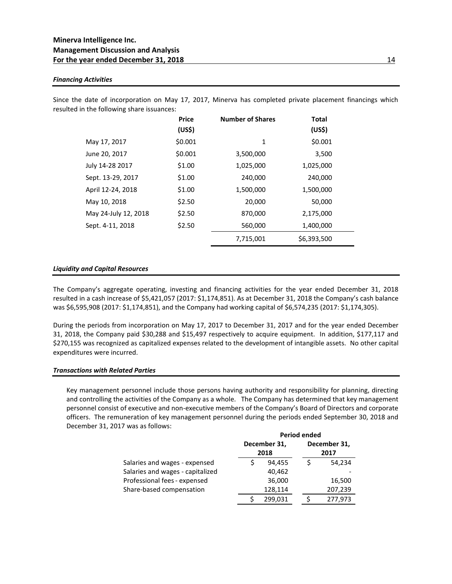## *Financing Activities*

Since the date of incorporation on May 17, 2017, Minerva has completed private placement financings which resulted in the following share issuances:

|                      | <b>Price</b><br>(US\$) | <b>Number of Shares</b> | Total<br>(US\$) |
|----------------------|------------------------|-------------------------|-----------------|
| May 17, 2017         | \$0.001                | 1                       | \$0.001         |
| June 20, 2017        | \$0.001                | 3,500,000               | 3,500           |
| July 14-28 2017      | \$1.00                 | 1,025,000               | 1,025,000       |
| Sept. 13-29, 2017    | \$1.00                 | 240,000                 | 240,000         |
| April 12-24, 2018    | \$1.00                 | 1,500,000               | 1,500,000       |
| May 10, 2018         | \$2.50                 | 20,000                  | 50,000          |
| May 24-July 12, 2018 | \$2.50                 | 870,000                 | 2,175,000       |
| Sept. 4-11, 2018     | \$2.50                 | 560,000                 | 1,400,000       |
|                      |                        | 7,715,001               | \$6,393,500     |

## *Liquidity and Capital Resources*

The Company's aggregate operating, investing and financing activities for the year ended December 31, 2018 resulted in a cash increase of \$5,421,057 (2017: \$1,174,851). As at December 31, 2018 the Company's cash balance was \$6,595,908 (2017: \$1,174,851), and the Company had working capital of \$6,574,235 (2017: \$1,174,305).

During the periods from incorporation on May 17, 2017 to December 31, 2017 and for the year ended December 31, 2018, the Company paid \$30,288 and \$15,497 respectively to acquire equipment. In addition, \$177,117 and \$270,155 was recognized as capitalized expenses related to the development of intangible assets. No other capital expenditures were incurred.

#### *Transactions with Related Parties*

Key management personnel include those persons having authority and responsibility for planning, directing and controlling the activities of the Company as a whole. The Company has determined that key management personnel consist of executive and non-executive members of the Company's Board of Directors and corporate officers. The remuneration of key management personnel during the periods ended September 30, 2018 and December 31, 2017 was as follows:

|                                  | <b>Period ended</b> |              |  |              |
|----------------------------------|---------------------|--------------|--|--------------|
|                                  |                     | December 31, |  | December 31, |
|                                  | 2018                |              |  | 2017         |
| Salaries and wages - expensed    |                     | 94.455       |  | 54,234       |
| Salaries and wages - capitalized |                     | 40,462       |  |              |
| Professional fees - expensed     |                     | 36,000       |  | 16,500       |
| Share-based compensation         |                     | 128,114      |  | 207,239      |
|                                  |                     | 299.031      |  | 277.973      |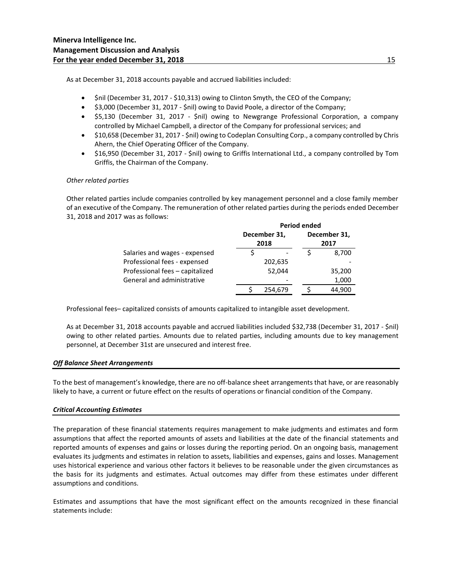As at December 31, 2018 accounts payable and accrued liabilities included:

- \$nil (December 31, 2017 \$10,313) owing to Clinton Smyth, the CEO of the Company;
- \$3,000 (December 31, 2017 \$nil) owing to David Poole, a director of the Company;
- \$5,130 (December 31, 2017 \$nil) owing to Newgrange Professional Corporation, a company controlled by Michael Campbell, a director of the Company for professional services; and
- \$10,658 (December 31, 2017 \$nil) owing to Codeplan Consulting Corp., a company controlled by Chris Ahern, the Chief Operating Officer of the Company.
- \$16,950 (December 31, 2017 \$nil) owing to Griffis International Ltd., a company controlled by Tom Griffis, the Chairman of the Company.

## *Other related parties*

Other related parties include companies controlled by key management personnel and a close family member of an executive of the Company. The remuneration of other related parties during the periods ended December 31, 2018 and 2017 was as follows:

|                                 | <b>Period ended</b> |              |  |              |
|---------------------------------|---------------------|--------------|--|--------------|
|                                 |                     | December 31, |  | December 31, |
|                                 |                     | 2018         |  | 2017         |
| Salaries and wages - expensed   |                     |              |  | 8,700        |
| Professional fees - expensed    |                     | 202,635      |  |              |
| Professional fees - capitalized |                     | 52,044       |  | 35,200       |
| General and administrative      |                     |              |  | 1,000        |
|                                 |                     | 254.679      |  | 44.900       |

Professional fees– capitalized consists of amounts capitalized to intangible asset development.

As at December 31, 2018 accounts payable and accrued liabilities included \$32,738 (December 31, 2017 - \$nil) owing to other related parties. Amounts due to related parties, including amounts due to key management personnel, at December 31st are unsecured and interest free.

## *Off Balance Sheet Arrangements*

To the best of management's knowledge, there are no off-balance sheet arrangements that have, or are reasonably likely to have, a current or future effect on the results of operations or financial condition of the Company.

## *Critical Accounting Estimates*

The preparation of these financial statements requires management to make judgments and estimates and form assumptions that affect the reported amounts of assets and liabilities at the date of the financial statements and reported amounts of expenses and gains or losses during the reporting period. On an ongoing basis, management evaluates its judgments and estimates in relation to assets, liabilities and expenses, gains and losses. Management uses historical experience and various other factors it believes to be reasonable under the given circumstances as the basis for its judgments and estimates. Actual outcomes may differ from these estimates under different assumptions and conditions.

Estimates and assumptions that have the most significant effect on the amounts recognized in these financial statements include: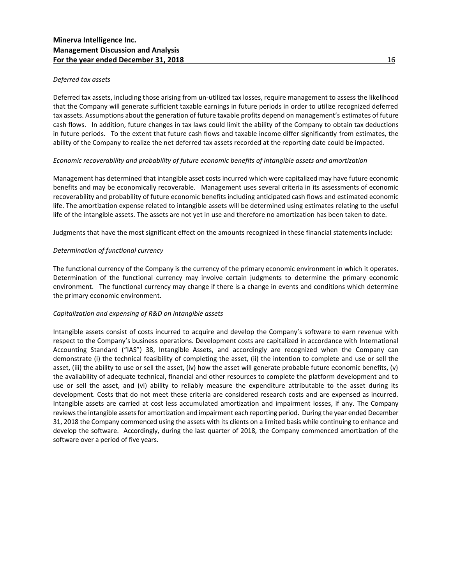## *Deferred tax assets*

Deferred tax assets, including those arising from un-utilized tax losses, require management to assess the likelihood that the Company will generate sufficient taxable earnings in future periods in order to utilize recognized deferred tax assets. Assumptions about the generation of future taxable profits depend on management's estimates of future cash flows. In addition, future changes in tax laws could limit the ability of the Company to obtain tax deductions in future periods. To the extent that future cash flows and taxable income differ significantly from estimates, the ability of the Company to realize the net deferred tax assets recorded at the reporting date could be impacted.

## *Economic recoverability and probability of future economic benefits of intangible assets and amortization*

Management has determined that intangible asset costs incurred which were capitalized may have future economic benefits and may be economically recoverable. Management uses several criteria in its assessments of economic recoverability and probability of future economic benefits including anticipated cash flows and estimated economic life. The amortization expense related to intangible assets will be determined using estimates relating to the useful life of the intangible assets. The assets are not yet in use and therefore no amortization has been taken to date.

Judgments that have the most significant effect on the amounts recognized in these financial statements include:

## *Determination of functional currency*

The functional currency of the Company is the currency of the primary economic environment in which it operates. Determination of the functional currency may involve certain judgments to determine the primary economic environment. The functional currency may change if there is a change in events and conditions which determine the primary economic environment.

## *Capitalization and expensing of R&D on intangible assets*

Intangible assets consist of costs incurred to acquire and develop the Company's software to earn revenue with respect to the Company's business operations. Development costs are capitalized in accordance with International Accounting Standard ("IAS") 38, Intangible Assets, and accordingly are recognized when the Company can demonstrate (i) the technical feasibility of completing the asset, (ii) the intention to complete and use or sell the asset, (iii) the ability to use or sell the asset, (iv) how the asset will generate probable future economic benefits, (v) the availability of adequate technical, financial and other resources to complete the platform development and to use or sell the asset, and (vi) ability to reliably measure the expenditure attributable to the asset during its development. Costs that do not meet these criteria are considered research costs and are expensed as incurred. Intangible assets are carried at cost less accumulated amortization and impairment losses, if any. The Company reviews the intangible assets for amortization and impairment each reporting period. During the year ended December 31, 2018 the Company commenced using the assets with its clients on a limited basis while continuing to enhance and develop the software. Accordingly, during the last quarter of 2018, the Company commenced amortization of the software over a period of five years.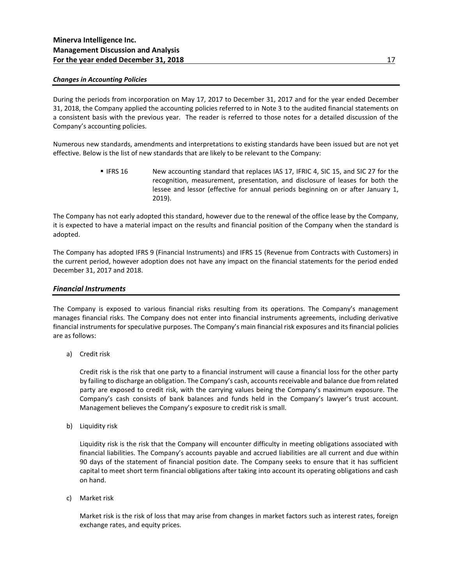## *Changes in Accounting Policies*

During the periods from incorporation on May 17, 2017 to December 31, 2017 and for the year ended December 31, 2018, the Company applied the accounting policies referred to in Note 3 to the audited financial statements on a consistent basis with the previous year. The reader is referred to those notes for a detailed discussion of the Company's accounting policies.

Numerous new standards, amendments and interpretations to existing standards have been issued but are not yet effective. Below is the list of new standards that are likely to be relevant to the Company:

> **.** IFRS 16 New accounting standard that replaces IAS 17, IFRIC 4, SIC 15, and SIC 27 for the recognition, measurement, presentation, and disclosure of leases for both the lessee and lessor (effective for annual periods beginning on or after January 1, 2019).

The Company has not early adopted this standard, however due to the renewal of the office lease by the Company, it is expected to have a material impact on the results and financial position of the Company when the standard is adopted.

The Company has adopted IFRS 9 (Financial Instruments) and IFRS 15 (Revenue from Contracts with Customers) in the current period, however adoption does not have any impact on the financial statements for the period ended December 31, 2017 and 2018.

## *Financial Instruments*

The Company is exposed to various financial risks resulting from its operations. The Company's management manages financial risks. The Company does not enter into financial instruments agreements, including derivative financial instruments for speculative purposes. The Company's main financial risk exposures and its financial policies are as follows:

a) Credit risk

Credit risk is the risk that one party to a financial instrument will cause a financial loss for the other party by failing to discharge an obligation. The Company's cash, accounts receivable and balance due from related party are exposed to credit risk, with the carrying values being the Company's maximum exposure. The Company's cash consists of bank balances and funds held in the Company's lawyer's trust account. Management believes the Company's exposure to credit risk is small.

b) Liquidity risk

Liquidity risk is the risk that the Company will encounter difficulty in meeting obligations associated with financial liabilities. The Company's accounts payable and accrued liabilities are all current and due within 90 days of the statement of financial position date. The Company seeks to ensure that it has sufficient capital to meet short term financial obligations after taking into account its operating obligations and cash on hand.

c) Market risk

Market risk is the risk of loss that may arise from changes in market factors such as interest rates, foreign exchange rates, and equity prices.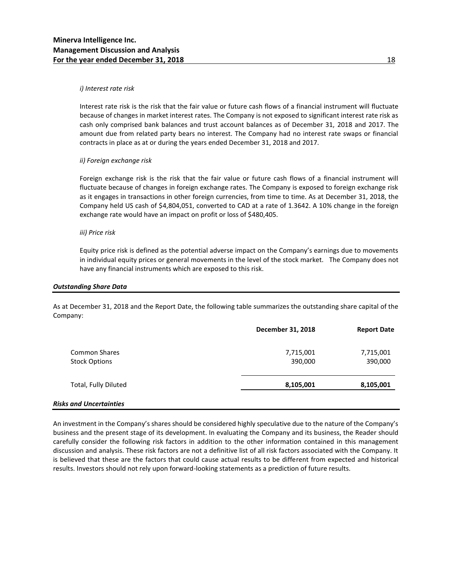#### *i) Interest rate risk*

Interest rate risk is the risk that the fair value or future cash flows of a financial instrument will fluctuate because of changes in market interest rates. The Company is not exposed to significant interest rate risk as cash only comprised bank balances and trust account balances as of December 31, 2018 and 2017. The amount due from related party bears no interest. The Company had no interest rate swaps or financial contracts in place as at or during the years ended December 31, 2018 and 2017.

## *ii) Foreign exchange risk*

Foreign exchange risk is the risk that the fair value or future cash flows of a financial instrument will fluctuate because of changes in foreign exchange rates. The Company is exposed to foreign exchange risk as it engages in transactions in other foreign currencies, from time to time. As at December 31, 2018, the Company held US cash of \$4,804,051, converted to CAD at a rate of 1.3642. A 10% change in the foreign exchange rate would have an impact on profit or loss of \$480,405.

#### *iii) Price risk*

Equity price risk is defined as the potential adverse impact on the Company's earnings due to movements in individual equity prices or general movements in the level of the stock market. The Company does not have any financial instruments which are exposed to this risk.

#### *Outstanding Share Data*

As at December 31, 2018 and the Report Date, the following table summarizes the outstanding share capital of the Company:

|                      | December 31, 2018 | <b>Report Date</b> |
|----------------------|-------------------|--------------------|
| <b>Common Shares</b> | 7,715,001         | 7,715,001          |
| <b>Stock Options</b> | 390,000           | 390,000            |
| Total, Fully Diluted | 8,105,001         | 8,105,001          |
|                      |                   |                    |

## *Risks and Uncertainties*

An investment in the Company's shares should be considered highly speculative due to the nature of the Company's business and the present stage of its development. In evaluating the Company and its business, the Reader should carefully consider the following risk factors in addition to the other information contained in this management discussion and analysis. These risk factors are not a definitive list of all risk factors associated with the Company. It is believed that these are the factors that could cause actual results to be different from expected and historical results. Investors should not rely upon forward-looking statements as a prediction of future results.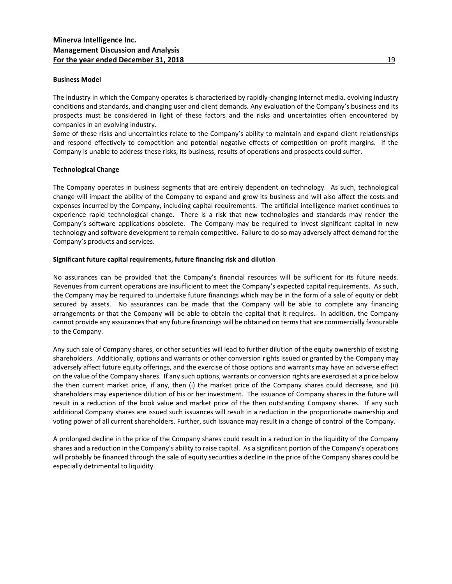## **Business Model**

The industry in which the Company operates is characterized by rapidly-changing Internet media, evolving industry conditions and standards, and changing user and client demands. Any evaluation of the Company's business and its prospects must be considered in light of these factors and the risks and uncertainties often encountered by companies in an evolving industry.

Some of these risks and uncertainties relate to the Company's ability to maintain and expand client relationships and respond effectively to competition and potential negative effects of competition on profit margins. If the Company is unable to address these risks, its business, results of operations and prospects could suffer.

#### **Technological Change**

The Company operates in business segments that are entirely dependent on technology. As such, technological change will impact the ability of the Company to expand and grow its business and will also affect the costs and expenses incurred by the Company, including capital requirements. The artificial intelligence market continues to experience rapid technological change. There is a risk that new technologies and standards may render the Company's software applications obsolete. The Company may be required to invest significant capital in new technology and software development to remain competitive. Failure to do so may adversely affect demand for the Company's products and services.

## **Significant future capital requirements, future financing risk and dilution**

No assurances can be provided that the Company's financial resources will be sufficient for its future needs. Revenues from current operations are insufficient to meet the Company's expected capital requirements. As such, the Company may be required to undertake future financings which may be in the form of a sale of equity or debt secured by assets. No assurances can be made that the Company will be able to complete any financing arrangements or that the Company will be able to obtain the capital that it requires. In addition, the Company cannot provide any assurances that any future financings will be obtained on terms that are commercially favourable to the Company.

Any such sale of Company shares, or other securities will lead to further dilution of the equity ownership of existing shareholders. Additionally, options and warrants or other conversion rights issued or granted by the Company may adversely affect future equity offerings, and the exercise of those options and warrants may have an adverse effect on the value of the Company shares. If any such options, warrants or conversion rights are exercised at a price below the then current market price, if any, then (i) the market price of the Company shares could decrease, and (ii) shareholders may experience dilution of his or her investment. The issuance of Company shares in the future will result in a reduction of the book value and market price of the then outstanding Company shares. If any such additional Company shares are issued such issuances will result in a reduction in the proportionate ownership and voting power of all current shareholders. Further, such issuance may result in a change of control of the Company.

A prolonged decline in the price of the Company shares could result in a reduction in the liquidity of the Company shares and a reduction in the Company's ability to raise capital. As a significant portion of the Company's operations will probably be financed through the sale of equity securities a decline in the price of the Company shares could be especially detrimental to liquidity.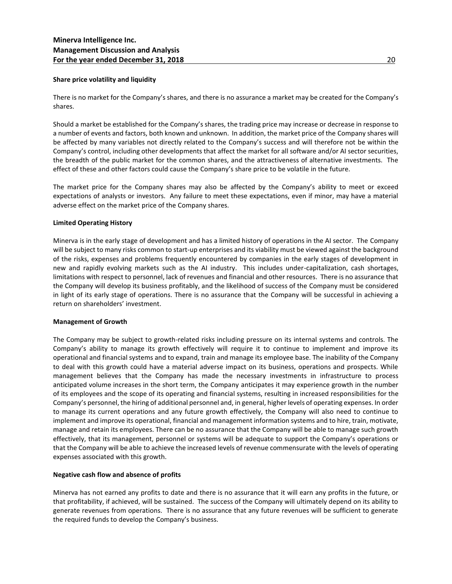## **Share price volatility and liquidity**

There is no market for the Company's shares, and there is no assurance a market may be created for the Company's shares.

Should a market be established for the Company's shares, the trading price may increase or decrease in response to a number of events and factors, both known and unknown. In addition, the market price of the Company shares will be affected by many variables not directly related to the Company's success and will therefore not be within the Company's control, including other developments that affect the market for all software and/or AI sector securities, the breadth of the public market for the common shares, and the attractiveness of alternative investments. The effect of these and other factors could cause the Company's share price to be volatile in the future.

The market price for the Company shares may also be affected by the Company's ability to meet or exceed expectations of analysts or investors. Any failure to meet these expectations, even if minor, may have a material adverse effect on the market price of the Company shares.

#### **Limited Operating History**

Minerva is in the early stage of development and has a limited history of operations in the AI sector. The Company will be subject to many risks common to start-up enterprises and its viability must be viewed against the background of the risks, expenses and problems frequently encountered by companies in the early stages of development in new and rapidly evolving markets such as the AI industry. This includes under-capitalization, cash shortages, limitations with respect to personnel, lack of revenues and financial and other resources. There is no assurance that the Company will develop its business profitably, and the likelihood of success of the Company must be considered in light of its early stage of operations. There is no assurance that the Company will be successful in achieving a return on shareholders' investment.

#### **Management of Growth**

The Company may be subject to growth-related risks including pressure on its internal systems and controls. The Company's ability to manage its growth effectively will require it to continue to implement and improve its operational and financial systems and to expand, train and manage its employee base. The inability of the Company to deal with this growth could have a material adverse impact on its business, operations and prospects. While management believes that the Company has made the necessary investments in infrastructure to process anticipated volume increases in the short term, the Company anticipates it may experience growth in the number of its employees and the scope of its operating and financial systems, resulting in increased responsibilities for the Company's personnel, the hiring of additional personnel and, in general, higher levels of operating expenses. In order to manage its current operations and any future growth effectively, the Company will also need to continue to implement and improve its operational, financial and management information systems and to hire, train, motivate, manage and retain its employees. There can be no assurance that the Company will be able to manage such growth effectively, that its management, personnel or systems will be adequate to support the Company's operations or that the Company will be able to achieve the increased levels of revenue commensurate with the levels of operating expenses associated with this growth.

## **Negative cash flow and absence of profits**

Minerva has not earned any profits to date and there is no assurance that it will earn any profits in the future, or that profitability, if achieved, will be sustained. The success of the Company will ultimately depend on its ability to generate revenues from operations. There is no assurance that any future revenues will be sufficient to generate the required funds to develop the Company's business.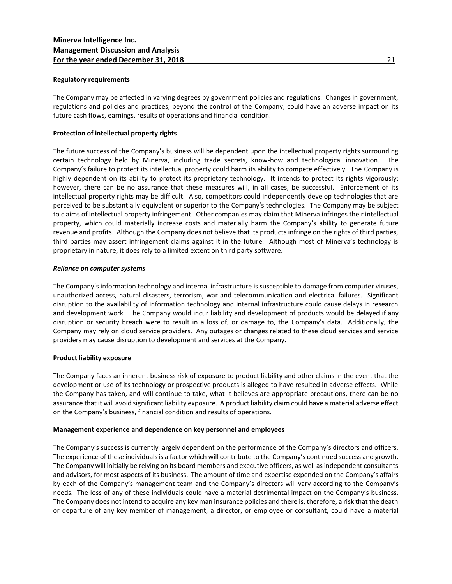## **Regulatory requirements**

The Company may be affected in varying degrees by government policies and regulations. Changes in government, regulations and policies and practices, beyond the control of the Company, could have an adverse impact on its future cash flows, earnings, results of operations and financial condition.

## **Protection of intellectual property rights**

The future success of the Company's business will be dependent upon the intellectual property rights surrounding certain technology held by Minerva, including trade secrets, know-how and technological innovation. The Company's failure to protect its intellectual property could harm its ability to compete effectively. The Company is highly dependent on its ability to protect its proprietary technology. It intends to protect its rights vigorously; however, there can be no assurance that these measures will, in all cases, be successful. Enforcement of its intellectual property rights may be difficult. Also, competitors could independently develop technologies that are perceived to be substantially equivalent or superior to the Company's technologies. The Company may be subject to claims of intellectual property infringement. Other companies may claim that Minerva infringes their intellectual property, which could materially increase costs and materially harm the Company's ability to generate future revenue and profits. Although the Company does not believe that its products infringe on the rights of third parties, third parties may assert infringement claims against it in the future. Although most of Minerva's technology is proprietary in nature, it does rely to a limited extent on third party software.

#### *Reliance on computer systems*

The Company's information technology and internal infrastructure is susceptible to damage from computer viruses, unauthorized access, natural disasters, terrorism, war and telecommunication and electrical failures. Significant disruption to the availability of information technology and internal infrastructure could cause delays in research and development work. The Company would incur liability and development of products would be delayed if any disruption or security breach were to result in a loss of, or damage to, the Company's data. Additionally, the Company may rely on cloud service providers. Any outages or changes related to these cloud services and service providers may cause disruption to development and services at the Company.

#### **Product liability exposure**

The Company faces an inherent business risk of exposure to product liability and other claims in the event that the development or use of its technology or prospective products is alleged to have resulted in adverse effects. While the Company has taken, and will continue to take, what it believes are appropriate precautions, there can be no assurance that it will avoid significant liability exposure. A product liability claim could have a material adverse effect on the Company's business, financial condition and results of operations.

#### **Management experience and dependence on key personnel and employees**

The Company's success is currently largely dependent on the performance of the Company's directors and officers. The experience of these individuals is a factor which will contribute to the Company's continued success and growth. The Company will initially be relying on its board members and executive officers, as well as independent consultants and advisors, for most aspects of its business. The amount of time and expertise expended on the Company's affairs by each of the Company's management team and the Company's directors will vary according to the Company's needs. The loss of any of these individuals could have a material detrimental impact on the Company's business. The Company does not intend to acquire any key man insurance policies and there is, therefore, a risk that the death or departure of any key member of management, a director, or employee or consultant, could have a material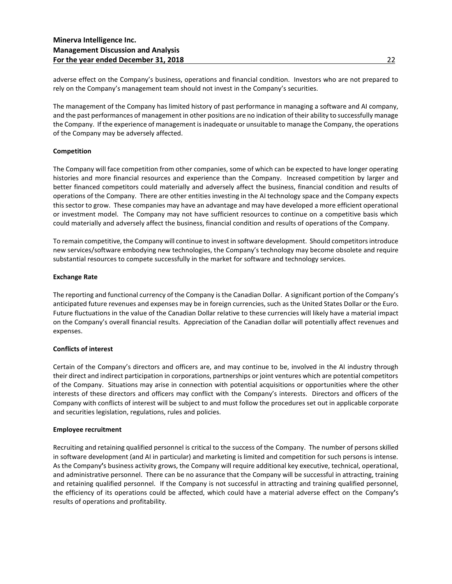adverse effect on the Company's business, operations and financial condition. Investors who are not prepared to rely on the Company's management team should not invest in the Company's securities.

The management of the Company has limited history of past performance in managing a software and AI company, and the past performances of management in other positions are no indication of their ability to successfully manage the Company. If the experience of management is inadequate or unsuitable to manage the Company, the operations of the Company may be adversely affected.

## **Competition**

The Company will face competition from other companies, some of which can be expected to have longer operating histories and more financial resources and experience than the Company. Increased competition by larger and better financed competitors could materially and adversely affect the business, financial condition and results of operations of the Company. There are other entities investing in the AI technology space and the Company expects this sector to grow. These companies may have an advantage and may have developed a more efficient operational or investment model. The Company may not have sufficient resources to continue on a competitive basis which could materially and adversely affect the business, financial condition and results of operations of the Company.

To remain competitive, the Company will continue to invest in software development. Should competitors introduce new services/software embodying new technologies, the Company's technology may become obsolete and require substantial resources to compete successfully in the market for software and technology services.

## **Exchange Rate**

The reporting and functional currency of the Company is the Canadian Dollar. A significant portion of the Company's anticipated future revenues and expenses may be in foreign currencies, such as the United States Dollar or the Euro. Future fluctuations in the value of the Canadian Dollar relative to these currencies will likely have a material impact on the Company's overall financial results. Appreciation of the Canadian dollar will potentially affect revenues and expenses.

## **Conflicts of interest**

Certain of the Company's directors and officers are, and may continue to be, involved in the AI industry through their direct and indirect participation in corporations, partnerships or joint ventures which are potential competitors of the Company. Situations may arise in connection with potential acquisitions or opportunities where the other interests of these directors and officers may conflict with the Company's interests. Directors and officers of the Company with conflicts of interest will be subject to and must follow the procedures set out in applicable corporate and securities legislation, regulations, rules and policies.

## **Employee recruitment**

Recruiting and retaining qualified personnel is critical to the success of the Company. The number of persons skilled in software development (and AI in particular) and marketing is limited and competition for such persons is intense. As the Company**'**s business activity grows, the Company will require additional key executive, technical, operational, and administrative personnel. There can be no assurance that the Company will be successful in attracting, training and retaining qualified personnel. If the Company is not successful in attracting and training qualified personnel, the efficiency of its operations could be affected, which could have a material adverse effect on the Company**'**s results of operations and profitability.